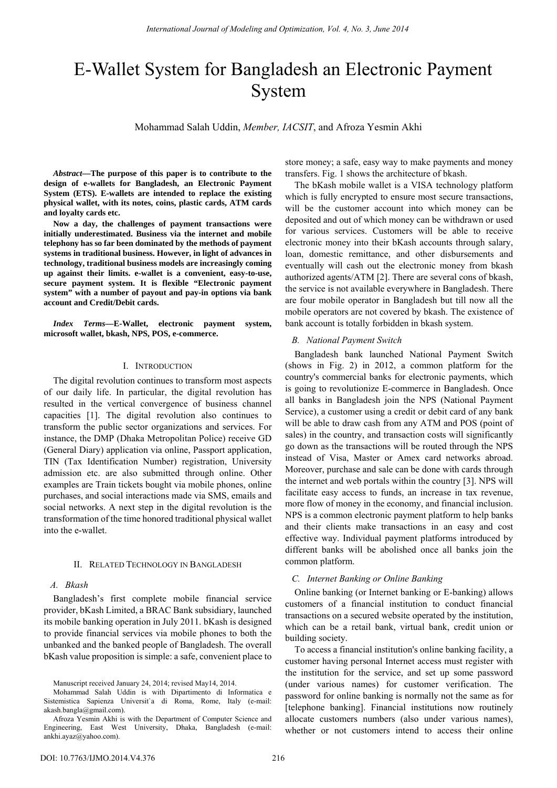# E-Wallet System for Bangladesh an Electronic Payment System

Mohammad Salah Uddin, *Member, IACSIT*, and Afroza Yesmin Akhi

*Abstract***—The purpose of this paper is to contribute to the design of e-wallets for Bangladesh, an Electronic Payment System (ETS). E-wallets are intended to replace the existing physical wallet, with its notes, coins, plastic cards, ATM cards and loyalty cards etc.** 

**Now a day, the challenges of payment transactions were initially underestimated. Business via the internet and mobile telephony has so far been dominated by the methods of payment systems in traditional business. However, in light of advances in technology, traditional business models are increasingly coming up against their limits. e-wallet is a convenient, easy-to-use, secure payment system. It is flexible "Electronic payment system" with a number of payout and pay-in options via bank account and Credit/Debit cards.** 

*Index Terms***—E-Wallet, electronic payment system, microsoft wallet, bkash, NPS, POS, e-commerce.** 

## I. INTRODUCTION

The digital revolution continues to transform most aspects of our daily life. In particular, the digital revolution has resulted in the vertical convergence of business channel capacities [1]. The digital revolution also continues to transform the public sector organizations and services. For instance, the DMP (Dhaka Metropolitan Police) receive GD (General Diary) application via online, Passport application, TIN (Tax Identification Number) registration, University admission etc. are also submitted through online. Other examples are Train tickets bought via mobile phones, online purchases, and social interactions made via SMS, emails and social networks. A next step in the digital revolution is the transformation of the time honored traditional physical wallet into the e-wallet.

#### II. RELATED TECHNOLOGY IN BANGLADESH

#### *A. Bkash*

Bangladesh's first complete mobile financial service provider, bKash Limited, a BRAC Bank subsidiary, launched its mobile banking operation in July 2011. bKash is designed to provide financial services via mobile phones to both the unbanked and the banked people of Bangladesh. The overall bKash value proposition is simple: a safe, convenient place to store money; a safe, easy way to make payments and money transfers. Fig. 1 shows the architecture of bkash.

The bKash mobile wallet is a VISA technology platform which is fully encrypted to ensure most secure transactions, will be the customer account into which money can be deposited and out of which money can be withdrawn or used for various services. Customers will be able to receive electronic money into their bKash accounts through salary, loan, domestic remittance, and other disbursements and eventually will cash out the electronic money from bkash authorized agents/ATM [2]. There are several cons of bkash, the service is not available everywhere in Bangladesh. There are four mobile operator in Bangladesh but till now all the mobile operators are not covered by bkash. The existence of bank account is totally forbidden in bkash system.

#### *B. National Payment Switch*

Bangladesh bank launched National Payment Switch (shows in Fig. 2) in 2012, a common platform for the country's commercial banks for electronic payments, which is going to revolutionize E-commerce in Bangladesh. Once all banks in Bangladesh join the NPS (National Payment Service), a customer using a credit or debit card of any bank will be able to draw cash from any ATM and POS (point of sales) in the country, and transaction costs will significantly go down as the transactions will be routed through the NPS instead of Visa, Master or Amex card networks abroad. Moreover, purchase and sale can be done with cards through the internet and web portals within the country [3]. NPS will facilitate easy access to funds, an increase in tax revenue, more flow of money in the economy, and financial inclusion. NPS is a common electronic payment platform to help banks and their clients make transactions in an easy and cost effective way. Individual payment platforms introduced by different banks will be abolished once all banks join the common platform.

## *C. Internet Banking or Online Banking*

Online banking (or Internet banking or E-banking) allows customers of a financial institution to conduct financial transactions on a secured website operated by the institution, which can be a retail bank, virtual bank, credit union or building society.

To access a financial institution's online banking facility, a customer having personal Internet access must register with the institution for the service, and set up some password (under various names) for customer verification. The password for online banking is normally not the same as for [telephone banking]. Financial institutions now routinely allocate customers numbers (also under various names), whether or not customers intend to access their online

Manuscript received January 24, 2014; revised May14, 2014.

Mohammad Salah Uddin is with Dipartimento di Informatica e Sistemistica Sapienza Universit`a di Roma, Rome, Italy (e-mail: akash.bangla@gmail.com).

Afroza Yesmin Akhi is with the Department of Computer Science and Engineering, East West University, Dhaka, Bangladesh (e-mail: ankhi.ayaz@yahoo.com).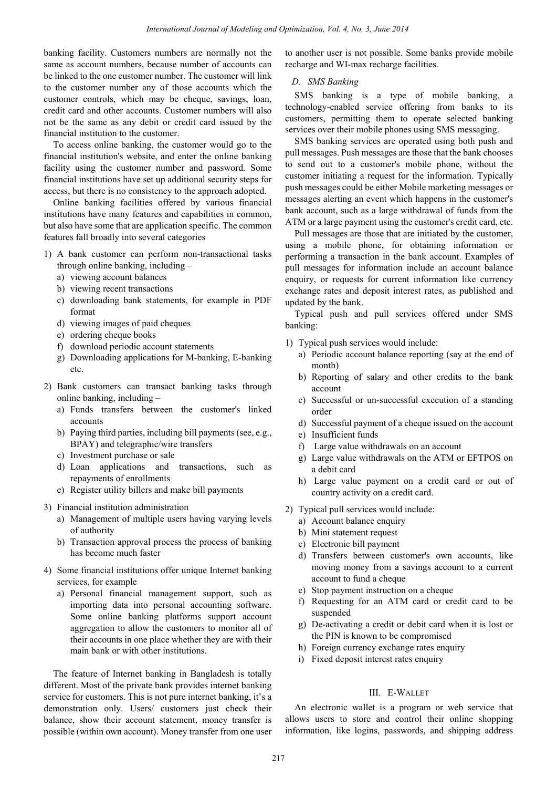banking facility. Customers numbers are normally not the same as account numbers, because number of accounts can be linked to the one customer number. The customer will link to the customer number any of those accounts which the customer controls, which may be cheque, savings, loan, credit card and other accounts. Customer numbers will also not be the same as any debit or credit card issued by the financial institution to the customer.

To access online banking, the customer would go to the financial institution's website, and enter the online banking facility using the customer number and password. Some financial institutions have set up additional security steps for access, but there is no consistency to the approach adopted.

Online banking facilities offered by various financial institutions have many features and capabilities in common, but also have some that are application specific. The common features fall broadly into several categories

- 1) A bank customer can perform non-transactional tasks through online banking, including –
	- a) viewing account balances
	- b) viewing recent transactions
	- c) downloading bank statements, for example in PDF format
	- d) viewing images of paid cheques
	- e) ordering cheque books
	- f) download periodic account statements
	- g) Downloading applications for M-banking, E-banking etc.
- 2) Bank customers can transact banking tasks through online banking, including –
	- a) Funds transfers between the customer's linked accounts
	- b) Paying third parties, including bill payments (see, e.g., BPAY) and telegraphic/wire transfers
	- c) Investment purchase or sale
	- d) Loan applications and transactions, such as repayments of enrollments
	- e) Register utility billers and make bill payments
- 3) Financial institution administration
	- a) Management of multiple users having varying levels of authority
	- b) Transaction approval process the process of banking has become much faster
- 4) Some financial institutions offer unique Internet banking services, for example
	- a) Personal financial management support, such as importing data into personal accounting software. Some online banking platforms support account aggregation to allow the customers to monitor all of their accounts in one place whether they are with their main bank or with other institutions.

The feature of Internet banking in Bangladesh is totally different. Most of the private bank provides internet banking service for customers. This is not pure internet banking, it's a demonstration only. Users/ customers just check their balance, show their account statement, money transfer is possible (within own account). Money transfer from one user to another user is not possible. Some banks provide mobile recharge and WI-max recharge facilities.

## *D. SMS Banking*

SMS banking is a type of mobile banking, a technology-enabled service offering from banks to its customers, permitting them to operate selected banking services over their mobile phones using SMS messaging.

SMS banking services are operated using both push and pull messages. Push messages are those that the bank chooses to send out to a customer's mobile phone, without the customer initiating a request for the information. Typically push messages could be either Mobile marketing messages or messages alerting an event which happens in the customer's bank account, such as a large withdrawal of funds from the ATM or a large payment using the customer's credit card, etc.

Pull messages are those that are initiated by the customer, using a mobile phone, for obtaining information or performing a transaction in the bank account. Examples of pull messages for information include an account balance enquiry, or requests for current information like currency exchange rates and deposit interest rates, as published and updated by the bank.

Typical push and pull services offered under SMS banking:

- 1) Typical push services would include:
	- a) Periodic account balance reporting (say at the end of month)
	- b) Reporting of salary and other credits to the bank account
	- c) Successful or un-successful execution of a standing order
	- d) Successful payment of a cheque issued on the account
	- e) Insufficient funds
	- f) Large value withdrawals on an account
	- g) Large value withdrawals on the ATM or EFTPOS on a debit card
	- h) Large value payment on a credit card or out of country activity on a credit card.
- 2) Typical pull services would include:
	- a) Account balance enquiry
	- b) Mini statement request
	- c) Electronic bill payment
	- d) Transfers between customer's own accounts, like moving money from a savings account to a current account to fund a cheque
	- e) Stop payment instruction on a cheque
	- f) Requesting for an ATM card or credit card to be suspended
	- g) De-activating a credit or debit card when it is lost or the PIN is known to be compromised
	- h) Foreign currency exchange rates enquiry
	- i) Fixed deposit interest rates enquiry

## III. E-WALLET

An electronic wallet is a program or web service that allows users to store and control their online shopping information, like logins, passwords, and shipping address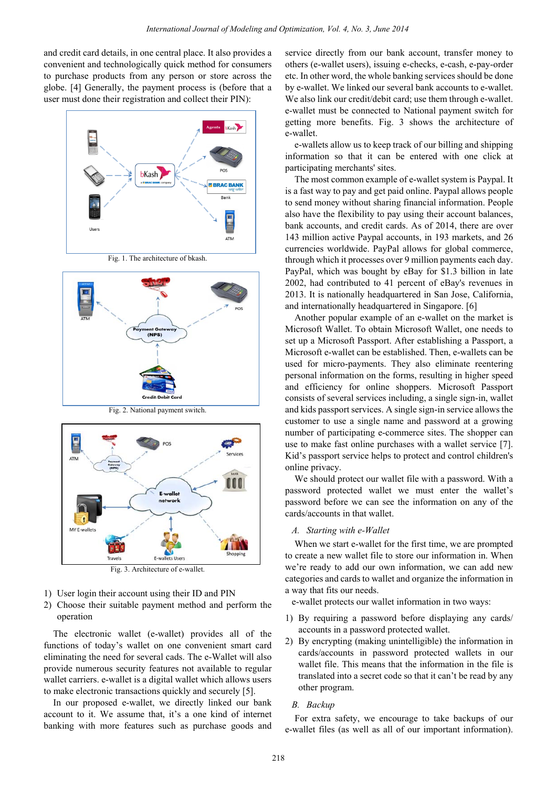and credit card details, in one central place. It also provides a convenient and technologically quick method for consumers to purchase products from any person or store across the globe. [4] Generally, the payment process is (before that a user must done their registration and collect their PIN):



Fig. 1. The architecture of bkash.



Fig. 2. National payment switch.



Fig. 3. Architecture of e-wallet.

- 1) User login their account using their ID and PIN
- 2) Choose their suitable payment method and perform the operation

The electronic wallet (e-wallet) provides all of the functions of today's wallet on one convenient smart card eliminating the need for several cads. The e-Wallet will also provide numerous security features not available to regular wallet carriers. e-wallet is a digital wallet which allows users to make electronic transactions quickly and securely [5].

In our proposed e-wallet, we directly linked our bank account to it. We assume that, it's a one kind of internet banking with more features such as purchase goods and

service directly from our bank account, transfer money to others (e-wallet users), issuing e-checks, e-cash, e-pay-order etc. In other word, the whole banking services should be done by e-wallet. We linked our several bank accounts to e-wallet. We also link our credit/debit card; use them through e-wallet. e-wallet must be connected to National payment switch for getting more benefits. Fig. 3 shows the architecture of e-wallet.

e-wallets allow us to keep track of our billing and shipping information so that it can be entered with one click at participating merchants' sites.

The most common example of e-wallet system is Paypal. It is a fast way to pay and get paid online. Paypal allows people to send money without sharing financial information. People also have the flexibility to pay using their account balances, bank accounts, and credit cards. As of 2014, there are over 143 million active Paypal accounts, in 193 markets, and 26 currencies worldwide. PayPal allows for global commerce, through which it processes over 9 million payments each day. PayPal, which was bought by eBay for \$1.3 billion in late 2002, had contributed to 41 percent of eBay's revenues in 2013. It is nationally headquartered in San Jose, California, and internationally headquartered in Singapore. [6]

Another popular example of an e-wallet on the market is Microsoft Wallet. To obtain Microsoft Wallet, one needs to set up a Microsoft Passport. After establishing a Passport, a Microsoft e-wallet can be established. Then, e-wallets can be used for micro-payments. They also eliminate reentering personal information on the forms, resulting in higher speed and efficiency for online shoppers. Microsoft Passport consists of several services including, a single sign-in, wallet and kids passport services. A single sign-in service allows the customer to use a single name and password at a growing number of participating e-commerce sites. The shopper can use to make fast online purchases with a wallet service [7]. Kid's passport service helps to protect and control children's online privacy.

We should protect our wallet file with a password. With a password protected wallet we must enter the wallet's password before we can see the information on any of the cards/accounts in that wallet.

### *A. Starting with e-Wallet*

When we start e-wallet for the first time, we are prompted to create a new wallet file to store our information in. When we're ready to add our own information, we can add new categories and cards to wallet and organize the information in a way that fits our needs.

e-wallet protects our wallet information in two ways:

- 1) By requiring a password before displaying any cards/ accounts in a password protected wallet.
- 2) By encrypting (making unintelligible) the information in cards/accounts in password protected wallets in our wallet file. This means that the information in the file is translated into a secret code so that it can't be read by any other program.

#### *B. Backup*

For extra safety, we encourage to take backups of our e-wallet files (as well as all of our important information).